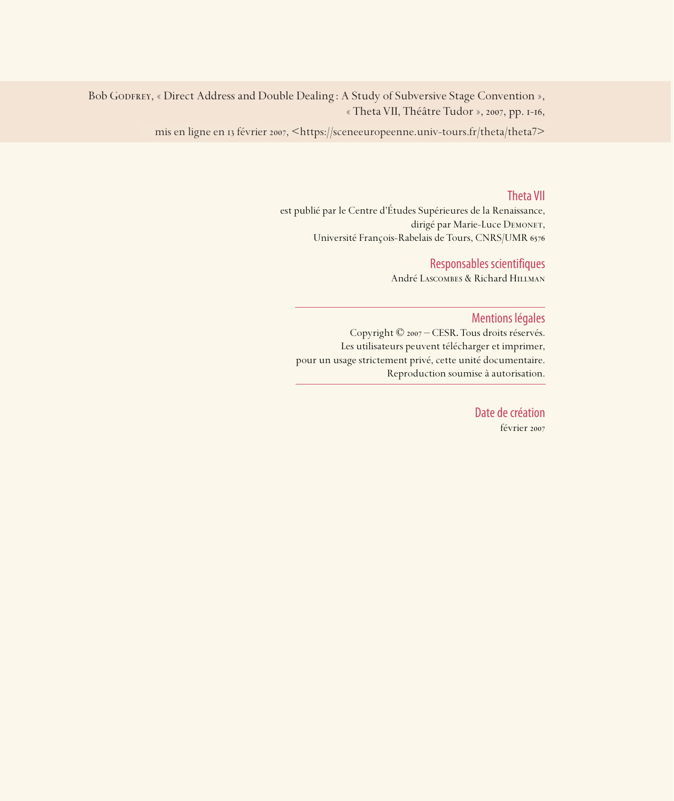Bob GODFREY, « Direct Address and Double Dealing : A Study of Subversive Stage Convention », « Theta VII, Théâtre Tudor », 2007, pp. I-I6,

mis en ligne en 13 février 2007, <https://sceneeuropeenne.univ-tours.fr/theta/theta7>

### Theta VII

est publié par le Centre d'Études Supérieures de la Renaissance, dirigé par Marie-Luce DEMONET, Université François-Rabelais de Tours, CNRS/UMR

### Responsables scientifiques

André Lascombes & Richard Hillman

### Mentions légales

Copyright © 2007 – CESR. Tous droits réservés. Les utilisateurs peuvent télécharger et imprimer, pour un usage strictement privé, cette unité documentaire. Reproduction soumise à autorisation.

> Date de création février 2007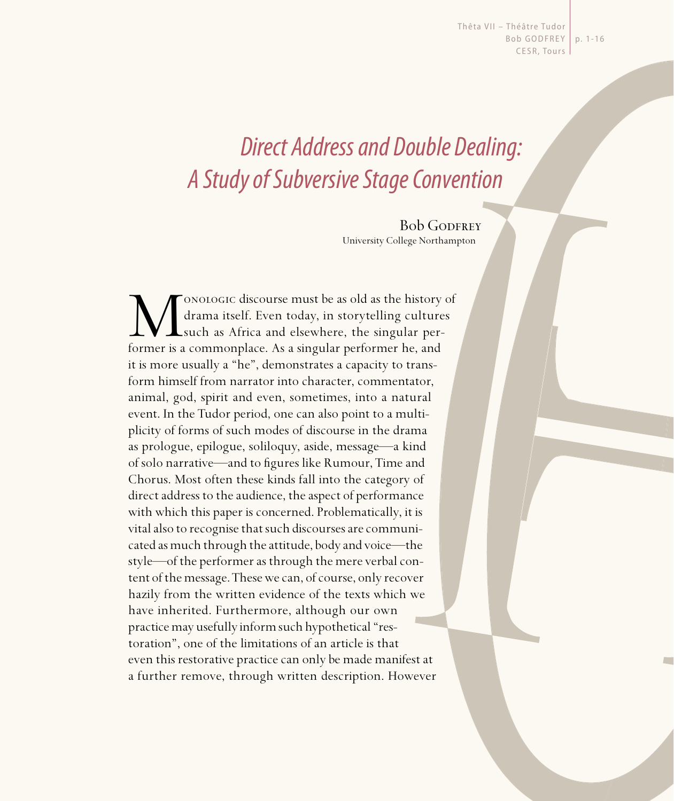Thêta VII - Théâtre Tudor Bob GODFREY | p. 1-16 CESR, Tours

# Direct Address and Double Dealing: A Study of Subversive Stage Convention

**Bob GODFREY** University College Northampton

Monologic discourse must be as old as the history of drama itself. Even today, in storytelling cultures such as Africa and elsewhere, the singular performer is a commonplace. As a singular performer he, and drama itself. Even today, in storytelling cultures such as Africa and elsewhere, the singular performer is a commonplace. As a singular performer he, and it is more usually a "he", demonstrates a capacity to transform himself from narrator into character, commentator, animal, god, spirit and even, sometimes, into a natural event. In the Tudor period, one can also point to a multiplicity of forms of such modes of discourse in the drama as prologue, epilogue, soliloquy, aside, message—a kind of solo narrative—and to figures like Rumour, Time and Chorus. Most often these kinds fall into the category of direct address to the audience, the aspect of performance with which this paper is concerned. Problematically, it is vital also to recognise that such discourses are communicated as much through the attitude, body and voice—the style—of the performer as through the mere verbal content of the message. These we can, of course, only recover hazily from the written evidence of the texts which we have inherited. Furthermore, although our own practice may usefully inform such hypothetical "restoration", one of the limitations of an article is that even this restorative practice can only be made manifest at a further remove, through written description. However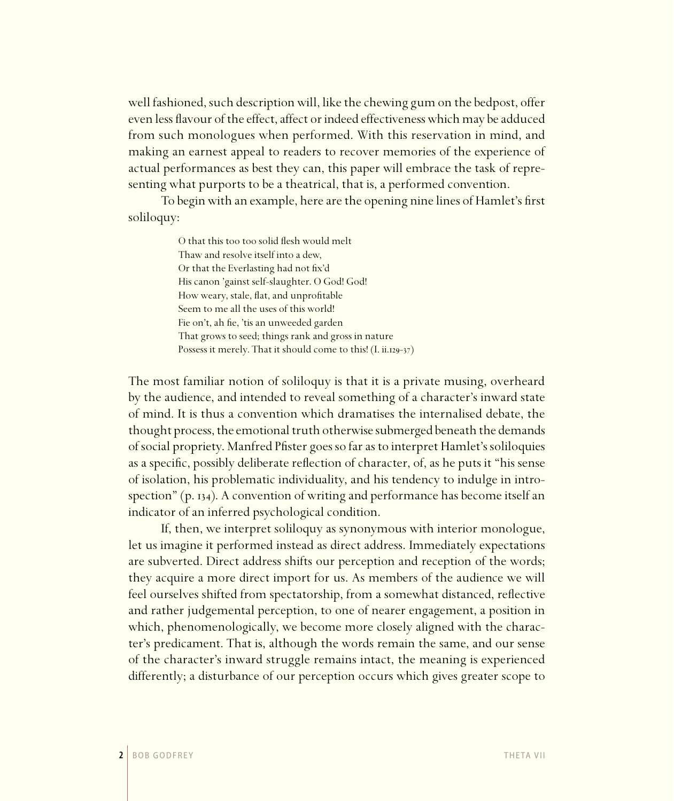well fashioned, such description will, like the chewing gum on the bedpost, offer even less flavour of the effect, affect or indeed effectiveness which may be adduced from such monologues when performed. With this reservation in mind, and making an earnest appeal to readers to recover memories of the experience of actual performances as best they can, this paper will embrace the task of representing what purports to be a theatrical, that is, a performed convention.

To begin with an example, here are the opening nine lines of Hamlet's first soliloquy:

> O that this too too solid flesh would melt Thaw and resolve itself into a dew, Or that the Everlasting had not fix'd His canon 'gainst self-slaughter. O God! God! How weary, stale, flat, and unprofitable Seem to me all the uses of this world! Fie on't, ah fie, 'tis an unweeded garden That grows to seed; things rank and gross in nature Possess it merely. That it should come to this!  $(I. ii.129-37)$

The most familiar notion of soliloquy is that it is a private musing, overheard by the audience, and intended to reveal something of a character's inward state of mind. It is thus a convention which dramatises the internalised debate, the thought process, the emotional truth otherwise submerged beneath the demands of social propriety. Manfred Pfister goes so far as to interpret Hamlet's soliloquies as a specific, possibly deliberate reflection of character, of, as he puts it "his sense of isolation, his problematic individuality, and his tendency to indulge in introspection"  $(p. 134)$ . A convention of writing and performance has become itself an indicator of an inferred psychological condition.

If, then, we interpret soliloquy as synonymous with interior monologue, let us imagine it performed instead as direct address. Immediately expectations are subverted. Direct address shifts our perception and reception of the words; they acquire a more direct import for us. As members of the audience we will feel ourselves shifted from spectatorship, from a somewhat distanced, reflective and rather judgemental perception, to one of nearer engagement, a position in which, phenomenologically, we become more closely aligned with the character's predicament. That is, although the words remain the same, and our sense of the character's inward struggle remains intact, the meaning is experienced differently; a disturbance of our perception occurs which gives greater scope to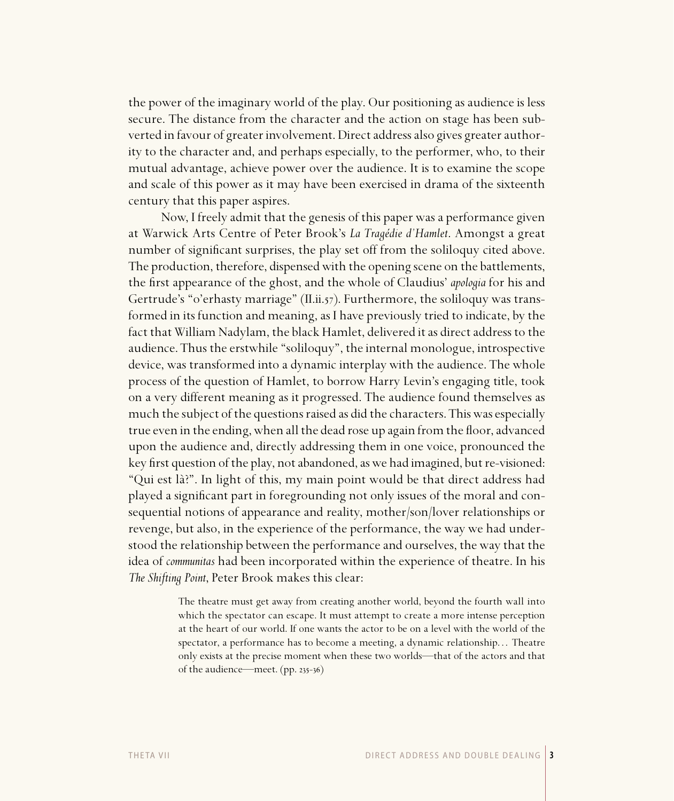the power of the imaginary world of the play. Our positioning as audience is less secure. The distance from the character and the action on stage has been subverted in favour of greater involvement. Direct address also gives greater authority to the character and, and perhaps especially, to the performer, who, to their mutual advantage, achieve power over the audience. It is to examine the scope and scale of this power as it may have been exercised in drama of the sixteenth century that this paper aspires.

Now, I freely admit that the genesis of this paper was a performance given at Warwick Arts Centre of Peter Brook's *La Tragédie d'Hamlet*. Amongst a great number of significant surprises, the play set off from the soliloquy cited above. The production, therefore, dispensed with the opening scene on the battlements, the first appearance of the ghost, and the whole of Claudius' *apologia* for his and Gertrude's "o'erhasty marriage" (II.ii. $57$ ). Furthermore, the soliloquy was transformed in its function and meaning, as I have previously tried to indicate, by the fact that William Nadylam, the black Hamlet, delivered it as direct address to the audience. Thus the erstwhile "soliloquy", the internal monologue, introspective device, was transformed into a dynamic interplay with the audience. The whole process of the question of Hamlet, to borrow Harry Levin's engaging title, took on a very different meaning as it progressed. The audience found themselves as much the subject of the questions raised as did the characters. This was especially true even in the ending, when all the dead rose up again from the floor, advanced upon the audience and, directly addressing them in one voice, pronounced the key first question of the play, not abandoned, as we had imagined, but re-visioned: "Qui est là?". In light of this, my main point would be that direct address had played a significant part in foregrounding not only issues of the moral and consequential notions of appearance and reality, mother/son/lover relationships or revenge, but also, in the experience of the performance, the way we had understood the relationship between the performance and ourselves, the way that the idea of *communitas* had been incorporated within the experience of theatre. In his *The Shifting Point*, Peter Brook makes this clear:

> The theatre must get away from creating another world, beyond the fourth wall into which the spectator can escape. It must attempt to create a more intense perception at the heart of our world. If one wants the actor to be on a level with the world of the spectator, a performance has to become a meeting, a dynamic relationship. . . Theatre only exists at the precise moment when these two worlds—that of the actors and that of the audience—meet. (pp. 235-36)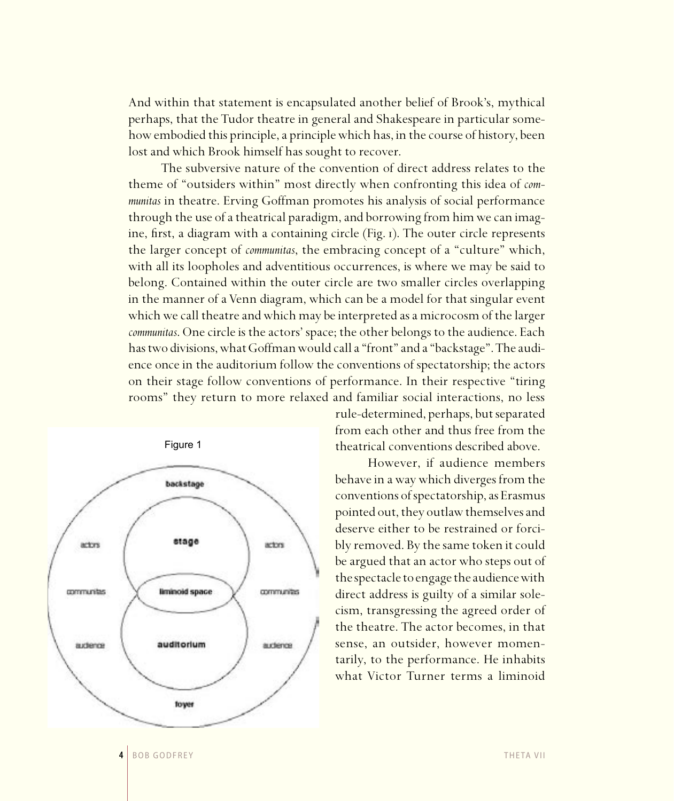And within that statement is encapsulated another belief of Brook's, mythical perhaps, that the Tudor theatre in general and Shakespeare in particular somehow embodied this principle, a principle which has, in the course of history, been lost and which Brook himself has sought to recover.

The subversive nature of the convention of direct address relates to the theme of "outsiders within" most directly when confronting this idea of *communitas* in theatre. Erving Goffman promotes his analysis of social performance through the use of a theatrical paradigm, and borrowing from him we can imagine, first, a diagram with a containing circle (Fig. 1). The outer circle represents the larger concept of *communitas*, the embracing concept of a "culture" which, with all its loopholes and adventitious occurrences, is where we may be said to belong. Contained within the outer circle are two smaller circles overlapping in the manner of a Venn diagram, which can be a model for that singular event which we call theatre and which may be interpreted as a microcosm of the larger *communitas*. One circle is the actors' space; the other belongs to the audience. Each has two divisions, what Goffman would call a "front" and a "backstage". The audience once in the auditorium follow the conventions of spectatorship; the actors on their stage follow conventions of performance. In their respective "tiring rooms" they return to more relaxed and familiar social interactions, no less



rule-determined, perhaps, but separated from each other and thus free from the theatrical conventions described above.

However, if audience members behave in a way which diverges from the conventions of spectatorship, as Erasmus pointed out, they outlaw themselves and deserve either to be restrained or forcibly removed. By the same token it could be argued that an actor who steps out of the spectacle to engage the audience with direct address is guilty of a similar solecism, transgressing the agreed order of the theatre. The actor becomes, in that sense, an outsider, however momentarily, to the performance. He inhabits what Victor Turner terms a liminoid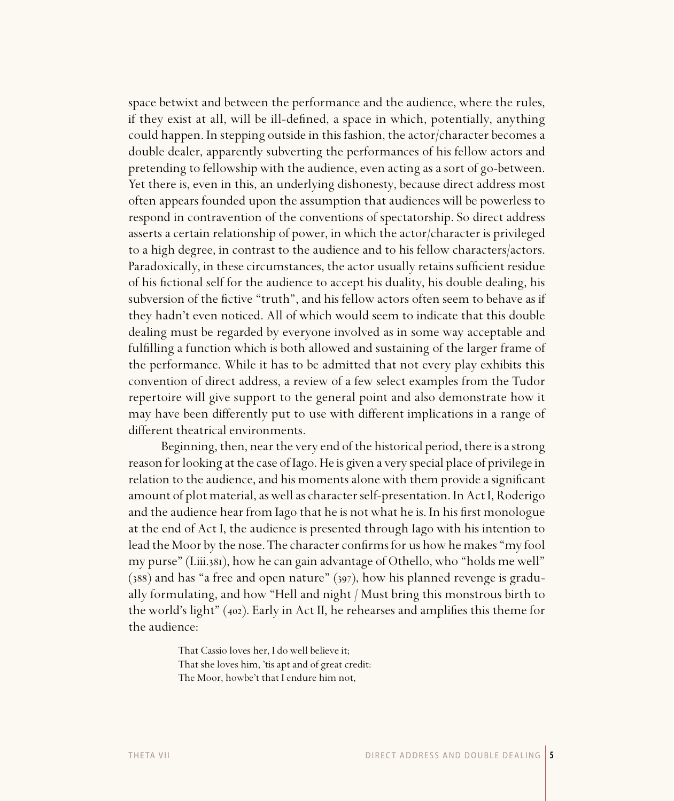space betwixt and between the performance and the audience, where the rules, if they exist at all, will be ill-defined, a space in which, potentially, anything could happen. In stepping outside in this fashion, the actor/character becomes a double dealer, apparently subverting the performances of his fellow actors and pretending to fellowship with the audience, even acting as a sort of go-between. Yet there is, even in this, an underlying dishonesty, because direct address most often appears founded upon the assumption that audiences will be powerless to respond in contravention of the conventions of spectatorship. So direct address asserts a certain relationship of power, in which the actor/character is privileged to a high degree, in contrast to the audience and to his fellow characters/actors. Paradoxically, in these circumstances, the actor usually retains sufficient residue of his fictional self for the audience to accept his duality, his double dealing, his subversion of the fictive "truth", and his fellow actors often seem to behave as if they hadn't even noticed. All of which would seem to indicate that this double dealing must be regarded by everyone involved as in some way acceptable and fulfilling a function which is both allowed and sustaining of the larger frame of the performance. While it has to be admitted that not every play exhibits this convention of direct address, a review of a few select examples from the Tudor repertoire will give support to the general point and also demonstrate how it may have been differently put to use with different implications in a range of different theatrical environments.

Beginning, then, near the very end of the historical period, there is a strong reason for looking at the case of Iago. He is given a very special place of privilege in relation to the audience, and his moments alone with them provide a significant amount of plot material, as well as character self-presentation. In Act I, Roderigo and the audience hear from Iago that he is not what he is. In his first monologue at the end of Act I, the audience is presented through Iago with his intention to lead the Moor by the nose. The character confirms for us how he makes "my fool my purse" (I.iii.381), how he can gain advantage of Othello, who "holds me well"  $(388)$  and has "a free and open nature"  $(397)$ , how his planned revenge is gradually formulating, and how "Hell and night / Must bring this monstrous birth to the world's light" ( $402$ ). Early in Act II, he rehearses and amplifies this theme for the audience:

> That Cassio loves her, I do well believe it; That she loves him, 'tis apt and of great credit: The Moor, howbe't that I endure him not,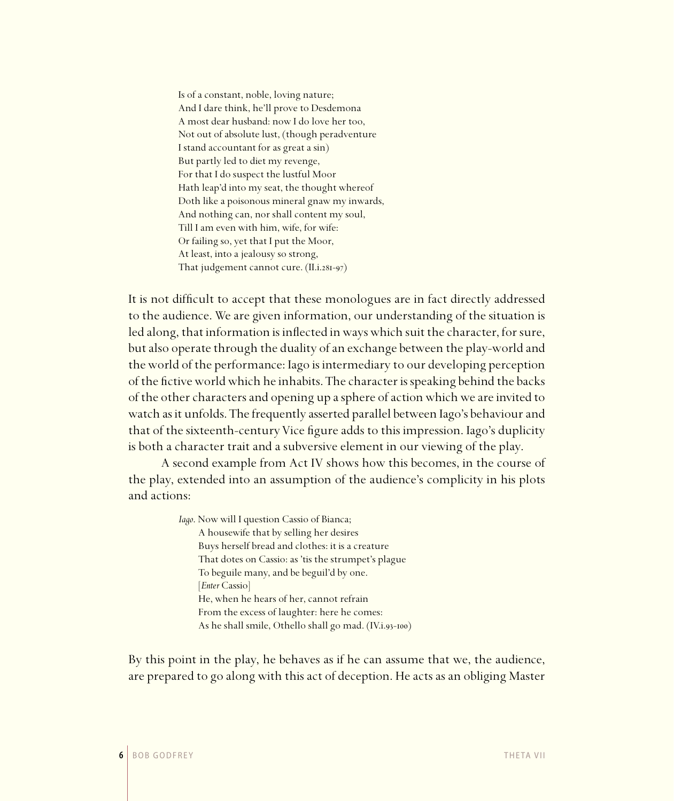Is of a constant, noble, loving nature; And I dare think, he'll prove to Desdemona A most dear husband: now I do love her too, Not out of absolute lust, (though peradventure I stand accountant for as great a sin) But partly led to diet my revenge, For that I do suspect the lustful Moor Hath leap'd into my seat, the thought whereof Doth like a poisonous mineral gnaw my inwards, And nothing can, nor shall content my soul, Till I am even with him, wife, for wife: Or failing so, yet that I put the Moor, At least, into a jealousy so strong, That judgement cannot cure.  $(II.i.28I-97)$ 

It is not difficult to accept that these monologues are in fact directly addressed to the audience. We are given information, our understanding of the situation is led along, that information is inflected in ways which suit the character, for sure, but also operate through the duality of an exchange between the play-world and the world of the performance: Iago is intermediary to our developing perception of the fictive world which he inhabits. The character is speaking behind the backs of the other characters and opening up a sphere of action which we are invited to watch as it unfolds. The frequently asserted parallel between Iago's behaviour and that of the sixteenth-century Vice figure adds to this impression. Iago's duplicity is both a character trait and a subversive element in our viewing of the play.

A second example from Act IV shows how this becomes, in the course of the play, extended into an assumption of the audience's complicity in his plots and actions:

> *Iago*. Now will I question Cassio of Bianca; A housewife that by selling her desires Buys herself bread and clothes: it is a creature That dotes on Cassio: as 'tis the strumpet's plague To beguile many, and be beguil'd by one. [*Enter* Cassio] He, when he hears of her, cannot refrain From the excess of laughter: here he comes: As he shall smile, Othello shall go mad. (IV.i.93-100)

By this point in the play, he behaves as if he can assume that we, the audience, are prepared to go along with this act of deception. He acts as an obliging Master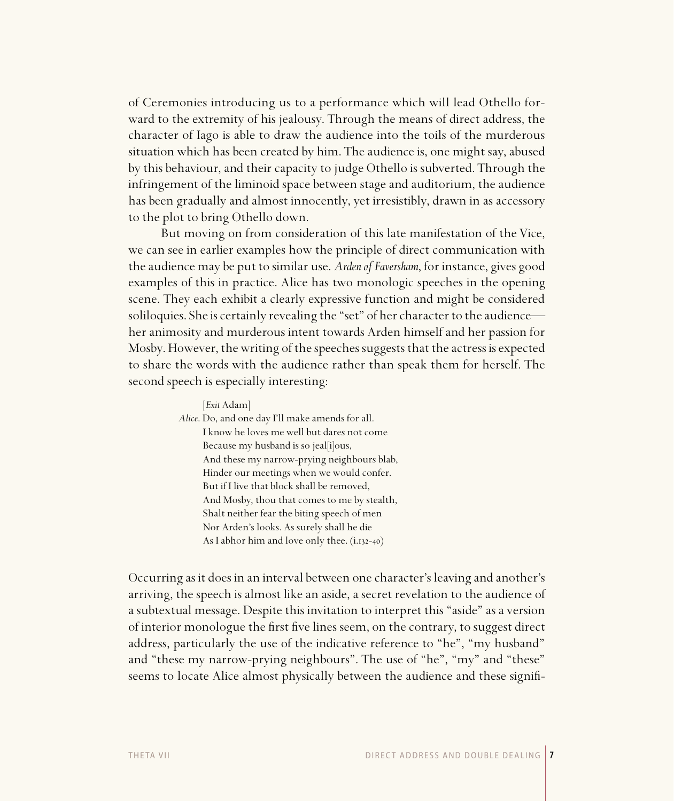of Ceremonies introducing us to a performance which will lead Othello forward to the extremity of his jealousy. Through the means of direct address, the character of Iago is able to draw the audience into the toils of the murderous situation which has been created by him. The audience is, one might say, abused by this behaviour, and their capacity to judge Othello is subverted. Through the infringement of the liminoid space between stage and auditorium, the audience has been gradually and almost innocently, yet irresistibly, drawn in as accessory to the plot to bring Othello down.

But moving on from consideration of this late manifestation of the Vice, we can see in earlier examples how the principle of direct communication with the audience may be put to similar use. *Arden of Faversham*, for instance, gives good examples of this in practice. Alice has two monologic speeches in the opening scene. They each exhibit a clearly expressive function and might be considered soliloquies. She is certainly revealing the "set" of her character to the audience her animosity and murderous intent towards Arden himself and her passion for Mosby. However, the writing of the speeches suggests that the actress is expected to share the words with the audience rather than speak them for herself. The second speech is especially interesting:

> [*Exit* Adam] *Alice*. Do, and one day I'll make amends for all. I know he loves me well but dares not come Because my husband is so jeal[i]ous, And these my narrow-prying neighbours blab, Hinder our meetings when we would confer. But if I live that block shall be removed, And Mosby, thou that comes to me by stealth, Shalt neither fear the biting speech of men Nor Arden's looks. As surely shall he die As I abhor him and love only thee.  $(i.132-40)$

Occurring as it does in an interval between one character's leaving and another's arriving, the speech is almost like an aside, a secret revelation to the audience of a subtextual message. Despite this invitation to interpret this "aside" as a version of interior monologue the first five lines seem, on the contrary, to suggest direct address, particularly the use of the indicative reference to "he", "my husband" and "these my narrow-prying neighbours". The use of "he", "my" and "these" seems to locate Alice almost physically between the audience and these signifi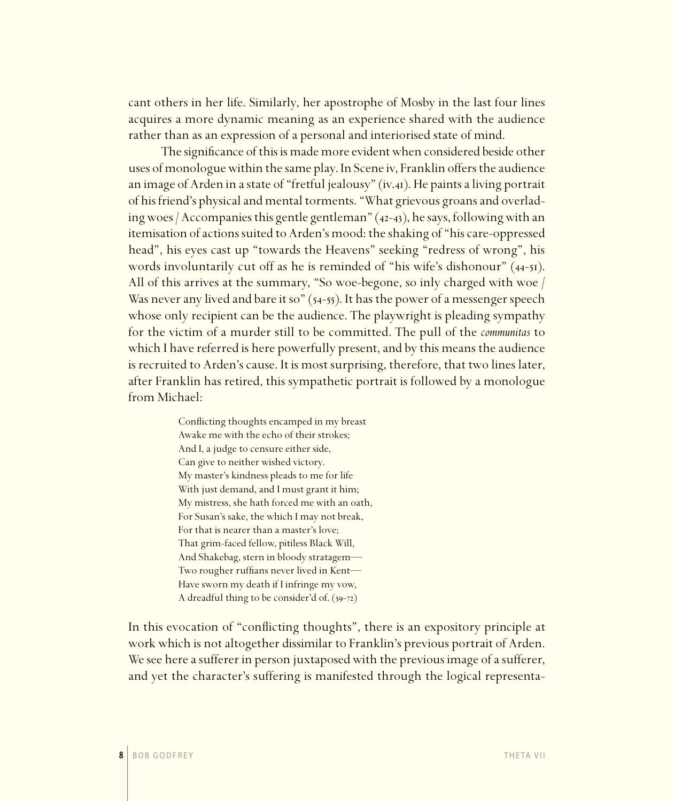cant others in her life. Similarly, her apostrophe of Mosby in the last four lines acquires a more dynamic meaning as an experience shared with the audience rather than as an expression of a personal and interiorised state of mind.

The significance of this is made more evident when considered beside other uses of monologue within the same play. In Scene iv, Franklin offers the audience an image of Arden in a state of "fretful jealousy" (iv.41). He paints a living portrait of his friend's physical and mental torments. "What grievous groans and overlading woes / Accompanies this gentle gentleman"  $(42-43)$ , he says, following with an itemisation of actions suited to Arden's mood: the shaking of "his care-oppressed head", his eyes cast up "towards the Heavens" seeking "redress of wrong", his words involuntarily cut off as he is reminded of "his wife's dishonour" (44-51). All of this arrives at the summary, "So woe-begone, so inly charged with woe / Was never any lived and bare it so"  $(54-55)$ . It has the power of a messenger speech whose only recipient can be the audience. The playwright is pleading sympathy for the victim of a murder still to be committed. The pull of the *communitas* to which I have referred is here powerfully present, and by this means the audience is recruited to Arden's cause. It is most surprising, therefore, that two lines later, after Franklin has retired, this sympathetic portrait is followed by a monologue from Michael:

> Conflicting thoughts encamped in my breast Awake me with the echo of their strokes; And I, a judge to censure either side, Can give to neither wished victory. My master's kindness pleads to me for life With just demand, and I must grant it him; My mistress, she hath forced me with an oath, For Susan's sake, the which I may not break, For that is nearer than a master's love; That grim-faced fellow, pitiless Black Will, And Shakebag, stern in bloody stratagem— Two rougher ruffians never lived in Kent— Have sworn my death if I infringe my vow, A dreadful thing to be consider'd of.  $(59-72)$

In this evocation of "conflicting thoughts", there is an expository principle at work which is not altogether dissimilar to Franklin's previous portrait of Arden. We see here a sufferer in person juxtaposed with the previous image of a sufferer, and yet the character's suffering is manifested through the logical representa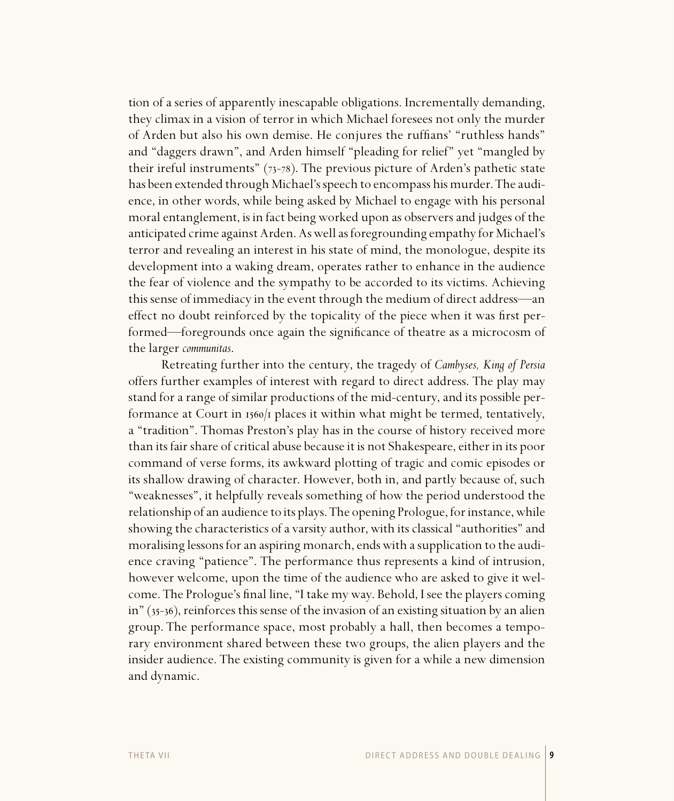tion of a series of apparently inescapable obligations. Incrementally demanding, they climax in a vision of terror in which Michael foresees not only the murder of Arden but also his own demise. He conjures the ruffians' "ruthless hands" and "daggers drawn", and Arden himself "pleading for relief" yet "mangled by their ireful instruments"  $(73-78)$ . The previous picture of Arden's pathetic state has been extended through Michael's speech to encompass his murder. The audience, in other words, while being asked by Michael to engage with his personal moral entanglement, is in fact being worked upon as observers and judges of the anticipated crime against Arden. As well as foregrounding empathy for Michael's terror and revealing an interest in his state of mind, the monologue, despite its development into a waking dream, operates rather to enhance in the audience the fear of violence and the sympathy to be accorded to its victims. Achieving this sense of immediacy in the event through the medium of direct address—an effect no doubt reinforced by the topicality of the piece when it was first performed—foregrounds once again the significance of theatre as a microcosm of the larger *communitas*.

Retreating further into the century, the tragedy of *Cambyses, King of Persia* offers further examples of interest with regard to direct address. The play may stand for a range of similar productions of the mid-century, and its possible performance at Court in  $1560/\text{i}$  places it within what might be termed, tentatively, a "tradition". Thomas Preston's play has in the course of history received more than its fair share of critical abuse because it is not Shakespeare, either in its poor command of verse forms, its awkward plotting of tragic and comic episodes or its shallow drawing of character. However, both in, and partly because of, such "weaknesses", it helpfully reveals something of how the period understood the relationship of an audience to its plays. The opening Prologue, for instance, while showing the characteristics of a varsity author, with its classical "authorities" and moralising lessons for an aspiring monarch, ends with a supplication to the audience craving "patience". The performance thus represents a kind of intrusion, however welcome, upon the time of the audience who are asked to give it welcome. The Prologue's final line, "I take my way. Behold, I see the players coming  $in$   $(35-36)$ , reinforces this sense of the invasion of an existing situation by an alien group. The performance space, most probably a hall, then becomes a temporary environment shared between these two groups, the alien players and the insider audience. The existing community is given for a while a new dimension and dynamic.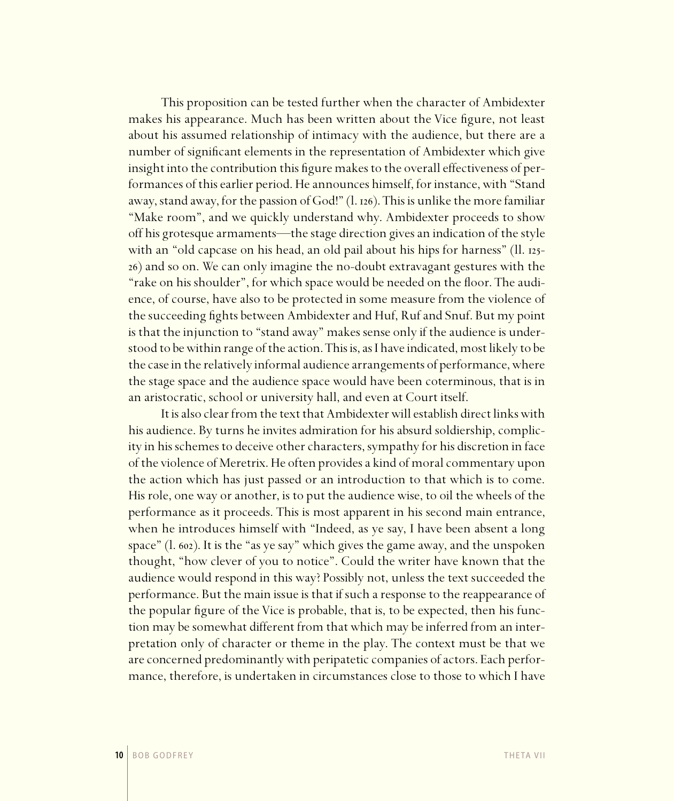This proposition can be tested further when the character of Ambidexter makes his appearance. Much has been written about the Vice figure, not least about his assumed relationship of intimacy with the audience, but there are a number of significant elements in the representation of Ambidexter which give insight into the contribution this figure makes to the overall effectiveness of performances of this earlier period. He announces himself, for instance, with "Stand away, stand away, for the passion of God!"  $(1.126)$ . This is unlike the more familiar "Make room", and we quickly understand why. Ambidexter proceeds to show off his grotesque armaments—the stage direction gives an indication of the style with an "old capcase on his head, an old pail about his hips for harness" (ll. 125-) and so on. We can only imagine the no-doubt extravagant gestures with the "rake on his shoulder", for which space would be needed on the floor. The audience, of course, have also to be protected in some measure from the violence of the succeeding fights between Ambidexter and Huf, Ruf and Snuf. But my point is that the injunction to "stand away" makes sense only if the audience is understood to be within range of the action. This is, as I have indicated, most likely to be the case in the relatively informal audience arrangements of performance, where the stage space and the audience space would have been coterminous, that is in an aristocratic, school or university hall, and even at Court itself.

It is also clear from the text that Ambidexter will establish direct links with his audience. By turns he invites admiration for his absurd soldiership, complicity in his schemes to deceive other characters, sympathy for his discretion in face of the violence of Meretrix. He often provides a kind of moral commentary upon the action which has just passed or an introduction to that which is to come. His role, one way or another, is to put the audience wise, to oil the wheels of the performance as it proceeds. This is most apparent in his second main entrance, when he introduces himself with "Indeed, as ye say, I have been absent a long space" (l. 602). It is the "as ye say" which gives the game away, and the unspoken thought, "how clever of you to notice". Could the writer have known that the audience would respond in this way? Possibly not, unless the text succeeded the performance. But the main issue is that if such a response to the reappearance of the popular figure of the Vice is probable, that is, to be expected, then his function may be somewhat different from that which may be inferred from an interpretation only of character or theme in the play. The context must be that we are concerned predominantly with peripatetic companies of actors. Each performance, therefore, is undertaken in circumstances close to those to which I have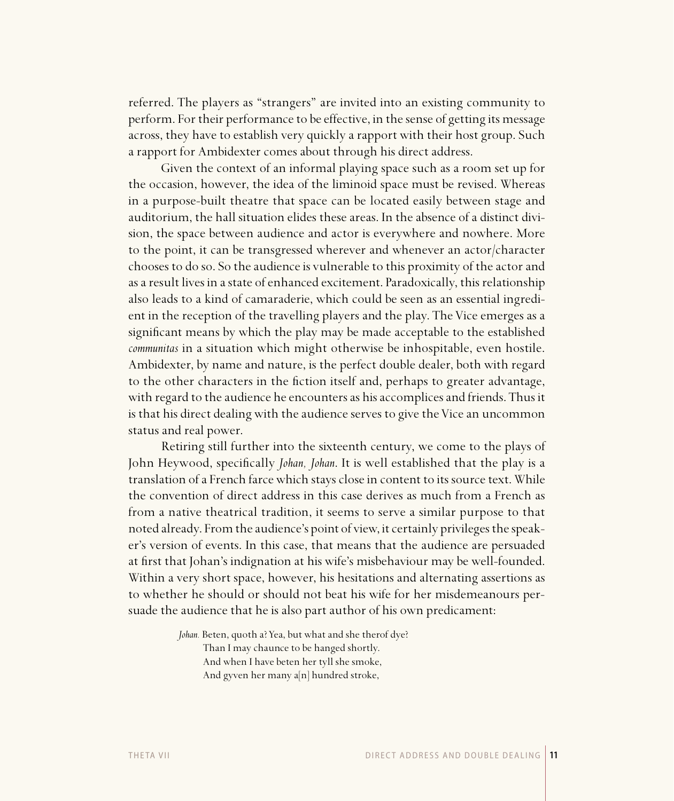referred. The players as "strangers" are invited into an existing community to perform. For their performance to be effective, in the sense of getting its message across, they have to establish very quickly a rapport with their host group. Such a rapport for Ambidexter comes about through his direct address.

Given the context of an informal playing space such as a room set up for the occasion, however, the idea of the liminoid space must be revised. Whereas in a purpose-built theatre that space can be located easily between stage and auditorium, the hall situation elides these areas. In the absence of a distinct division, the space between audience and actor is everywhere and nowhere. More to the point, it can be transgressed wherever and whenever an actor/character chooses to do so. So the audience is vulnerable to this proximity of the actor and as a result lives in a state of enhanced excitement. Paradoxically, this relationship also leads to a kind of camaraderie, which could be seen as an essential ingredient in the reception of the travelling players and the play. The Vice emerges as a significant means by which the play may be made acceptable to the established *communitas* in a situation which might otherwise be inhospitable, even hostile. Ambidexter, by name and nature, is the perfect double dealer, both with regard to the other characters in the fiction itself and, perhaps to greater advantage, with regard to the audience he encounters as his accomplices and friends. Thus it is that his direct dealing with the audience serves to give the Vice an uncommon status and real power.

Retiring still further into the sixteenth century, we come to the plays of John Heywood, specifically *Johan, Johan*. It is well established that the play is a translation of a French farce which stays close in content to its source text. While the convention of direct address in this case derives as much from a French as from a native theatrical tradition, it seems to serve a similar purpose to that noted already. From the audience's point of view, it certainly privileges the speaker's version of events. In this case, that means that the audience are persuaded at first that Johan's indignation at his wife's misbehaviour may be well-founded. Within a very short space, however, his hesitations and alternating assertions as to whether he should or should not beat his wife for her misdemeanours persuade the audience that he is also part author of his own predicament:

> *Johan.* Beten, quoth a? Yea, but what and she therof dye? Than I may chaunce to be hanged shortly. And when I have beten her tyll she smoke, And gyven her many a[n] hundred stroke,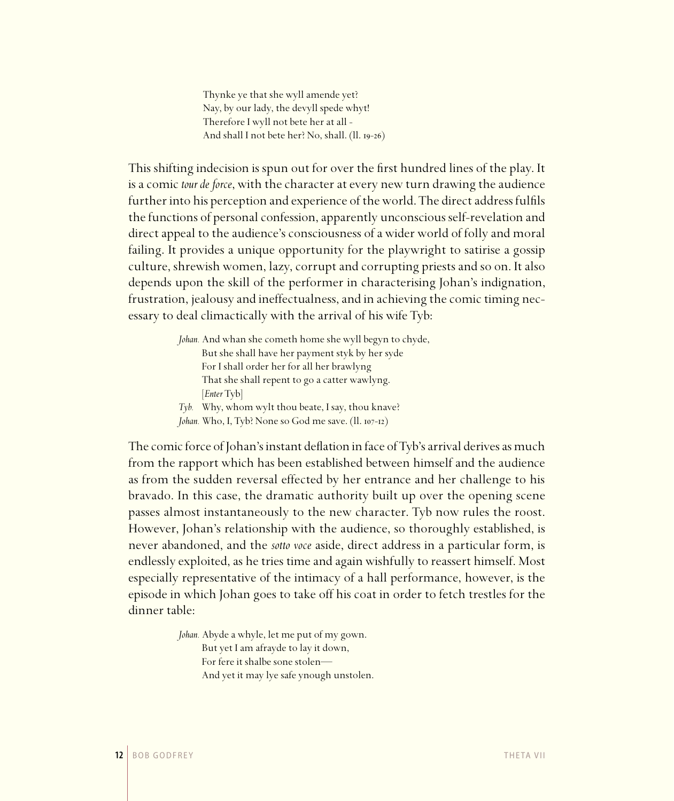Thynke ye that she wyll amende yet? Nay, by our lady, the devyll spede whyt! Therefore I wyll not bete her at all - And shall I not bete her? No, shall. (Il. 19-26)

This shifting indecision is spun out for over the first hundred lines of the play. It is a comic *tour de force*, with the character at every new turn drawing the audience further into his perception and experience of the world. The direct address fulfils the functions of personal confession, apparently unconscious self-revelation and direct appeal to the audience's consciousness of a wider world of folly and moral failing. It provides a unique opportunity for the playwright to satirise a gossip culture, shrewish women, lazy, corrupt and corrupting priests and so on. It also depends upon the skill of the performer in characterising Johan's indignation, frustration, jealousy and ineffectualness, and in achieving the comic timing necessary to deal climactically with the arrival of his wife Tyb:

> *Johan.* And whan she cometh home she wyll begyn to chyde, But she shall have her payment styk by her syde For I shall order her for all her brawlyng That she shall repent to go a catter wawlyng. [*Enter* Tyb] *Tyb.* Why, whom wylt thou beate, I say, thou knave?

*Johan.* Who, I, Tyb? None so God me save. (11. 107-12)

The comic force of Johan's instant deflation in face of Tyb's arrival derives as much from the rapport which has been established between himself and the audience as from the sudden reversal effected by her entrance and her challenge to his bravado. In this case, the dramatic authority built up over the opening scene passes almost instantaneously to the new character. Tyb now rules the roost. However, Johan's relationship with the audience, so thoroughly established, is never abandoned, and the *sotto voce* aside, direct address in a particular form, is endlessly exploited, as he tries time and again wishfully to reassert himself. Most especially representative of the intimacy of a hall performance, however, is the episode in which Johan goes to take off his coat in order to fetch trestles for the dinner table:

> *Johan.* Abyde a whyle, let me put of my gown. But yet I am afrayde to lay it down, For fere it shalbe sone stolen— And yet it may lye safe ynough unstolen.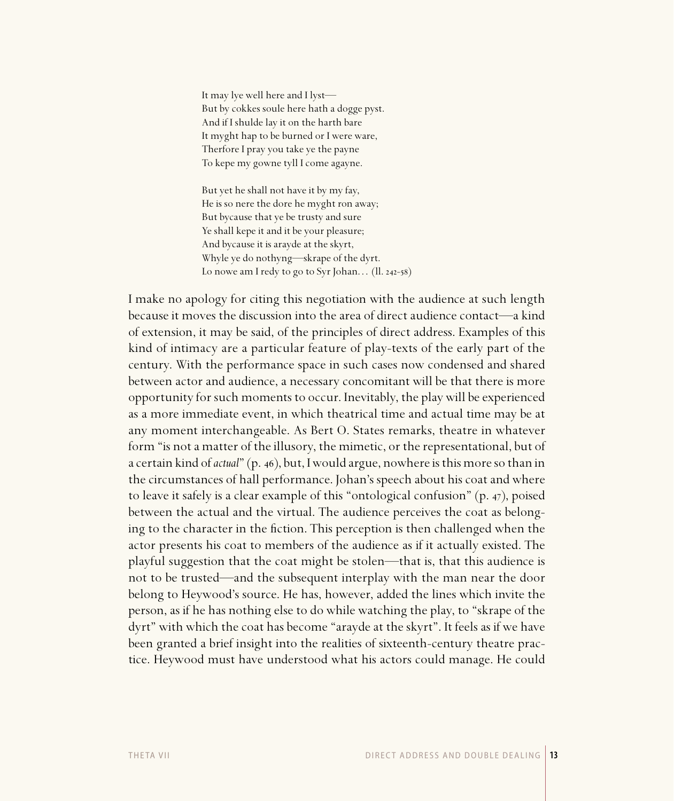It may lye well here and I lyst— But by cokkes soule here hath a dogge pyst. And if I shulde lay it on the harth bare It myght hap to be burned or I were ware, Therfore I pray you take ye the payne To kepe my gowne tyll I come agayne.

 But yet he shall not have it by my fay, He is so nere the dore he myght ron away; But bycause that ye be trusty and sure Ye shall kepe it and it be your pleasure; And bycause it is arayde at the skyrt, Whyle ye do nothyng—skrape of the dyrt. Lo nowe am I redy to go to Syr Johan...  $(11. 242 - 58)$ 

I make no apology for citing this negotiation with the audience at such length because it moves the discussion into the area of direct audience contact—a kind of extension, it may be said, of the principles of direct address. Examples of this kind of intimacy are a particular feature of play-texts of the early part of the century. With the performance space in such cases now condensed and shared between actor and audience, a necessary concomitant will be that there is more opportunity for such moments to occur. Inevitably, the play will be experienced as a more immediate event, in which theatrical time and actual time may be at any moment interchangeable. As Bert O. States remarks, theatre in whatever form "is not a matter of the illusory, the mimetic, or the representational, but of a certain kind of *actual*" (p. 46), but, I would argue, nowhere is this more so than in the circumstances of hall performance. Johan's speech about his coat and where to leave it safely is a clear example of this "ontological confusion"  $(p. 47)$ , poised between the actual and the virtual. The audience perceives the coat as belonging to the character in the fiction. This perception is then challenged when the actor presents his coat to members of the audience as if it actually existed. The playful suggestion that the coat might be stolen—that is, that this audience is not to be trusted—and the subsequent interplay with the man near the door belong to Heywood's source. He has, however, added the lines which invite the person, as if he has nothing else to do while watching the play, to "skrape of the dyrt" with which the coat has become "arayde at the skyrt". It feels as if we have been granted a brief insight into the realities of sixteenth-century theatre practice. Heywood must have understood what his actors could manage. He could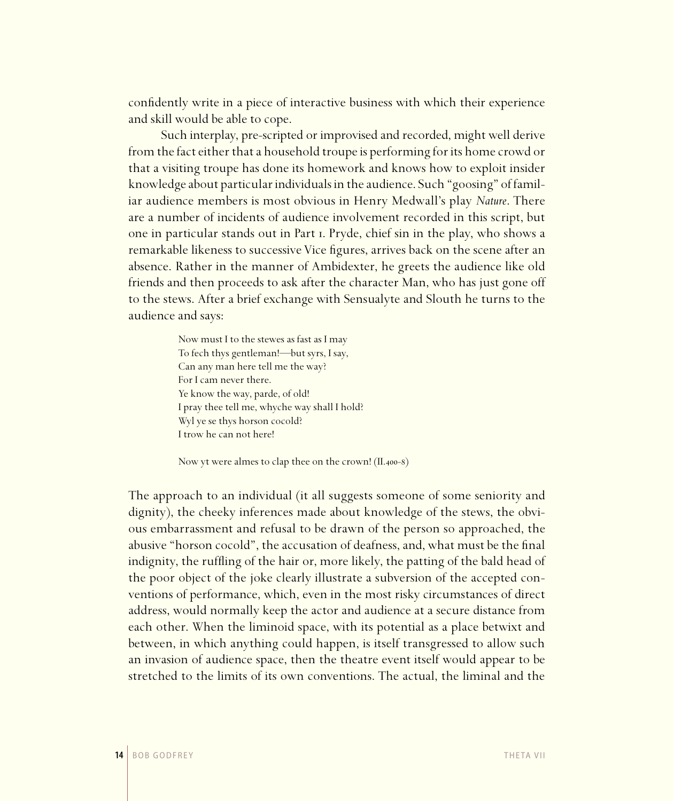confidently write in a piece of interactive business with which their experience and skill would be able to cope.

Such interplay, pre-scripted or improvised and recorded, might well derive from the fact either that a household troupe is performing for its home crowd or that a visiting troupe has done its homework and knows how to exploit insider knowledge about particular individuals in the audience. Such "goosing" of familiar audience members is most obvious in Henry Medwall's play *Nature*. There are a number of incidents of audience involvement recorded in this script, but one in particular stands out in Part . Pryde, chief sin in the play, who shows a remarkable likeness to successive Vice figures, arrives back on the scene after an absence. Rather in the manner of Ambidexter, he greets the audience like old friends and then proceeds to ask after the character Man, who has just gone off to the stews. After a brief exchange with Sensualyte and Slouth he turns to the audience and says:

> Now must I to the stewes as fast as I may To fech thys gentleman!—but syrs, I say, Can any man here tell me the way? For I cam never there. Ye know the way, parde, of old! I pray thee tell me, whyche way shall I hold? Wyl ye se thys horson cocold? I trow he can not here!

Now yt were almes to clap thee on the crown!  $(II.400-8)$ 

The approach to an individual (it all suggests someone of some seniority and dignity), the cheeky inferences made about knowledge of the stews, the obvious embarrassment and refusal to be drawn of the person so approached, the abusive "horson cocold", the accusation of deafness, and, what must be the final indignity, the ruffling of the hair or, more likely, the patting of the bald head of the poor object of the joke clearly illustrate a subversion of the accepted conventions of performance, which, even in the most risky circumstances of direct address, would normally keep the actor and audience at a secure distance from each other. When the liminoid space, with its potential as a place betwixt and between, in which anything could happen, is itself transgressed to allow such an invasion of audience space, then the theatre event itself would appear to be stretched to the limits of its own conventions. The actual, the liminal and the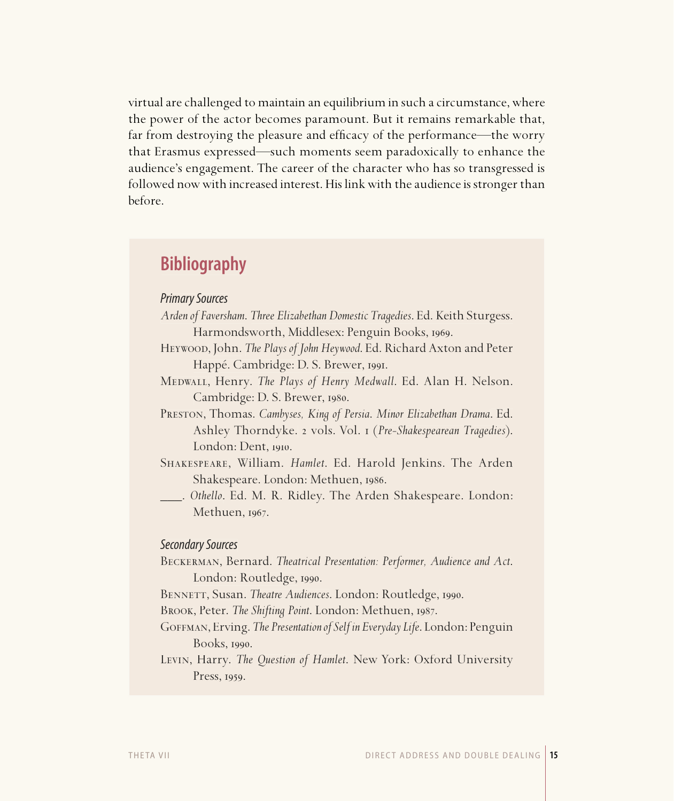virtual are challenged to maintain an equilibrium in such a circumstance, where the power of the actor becomes paramount. But it remains remarkable that, far from destroying the pleasure and efficacy of the performance—the worry that Erasmus expressed—such moments seem paradoxically to enhance the audience's engagement. The career of the character who has so transgressed is followed now with increased interest. His link with the audience is stronger than before.

## **Bibliography**

### Primary Sources

- *Arden of Faversham*. *Three Elizabethan Domestic Tragedies*. Ed. Keith Sturgess. Harmondsworth, Middlesex: Penguin Books, 1969.
- Heywood, John. *The Plays of John Heywood*. Ed. Richard Axton and Peter Happé. Cambridge: D. S. Brewer, 1991.
- Medwall, Henry. *The Plays of Henry Medwall*. Ed. Alan H. Nelson. Cambridge: D. S. Brewer, 1980.
- Preston, Thomas. *Cambyses, King of Persia*. *Minor Elizabethan Drama*. Ed. Ashley Thorndyke. vols. Vol. (*Pre-Shakespearean Tragedies*). London: Dent, 1910.
- Shakespeare, William. *Hamlet*. Ed. Harold Jenkins. The Arden Shakespeare. London: Methuen, 1986.
- \_\_\_. *Othello*. Ed. M. R. Ridley. The Arden Shakespeare. London: Methuen, 1967.

### Secondary Sources

Beckerman, Bernard. *Theatrical Presentation: Performer, Audience and Act*. London: Routledge, 1990.

BENNETT, Susan. *Theatre Audiences*. London: Routledge, 1990.

BROOK, Peter. The Shifting Point. London: Methuen, 1987.

- Goffman, Erving. *The Presentation of Self in Everyday Life*. London: Penguin Books, 1990.
- Levin, Harry. *The Question of Hamlet*. New York: Oxford University Press, 1959.